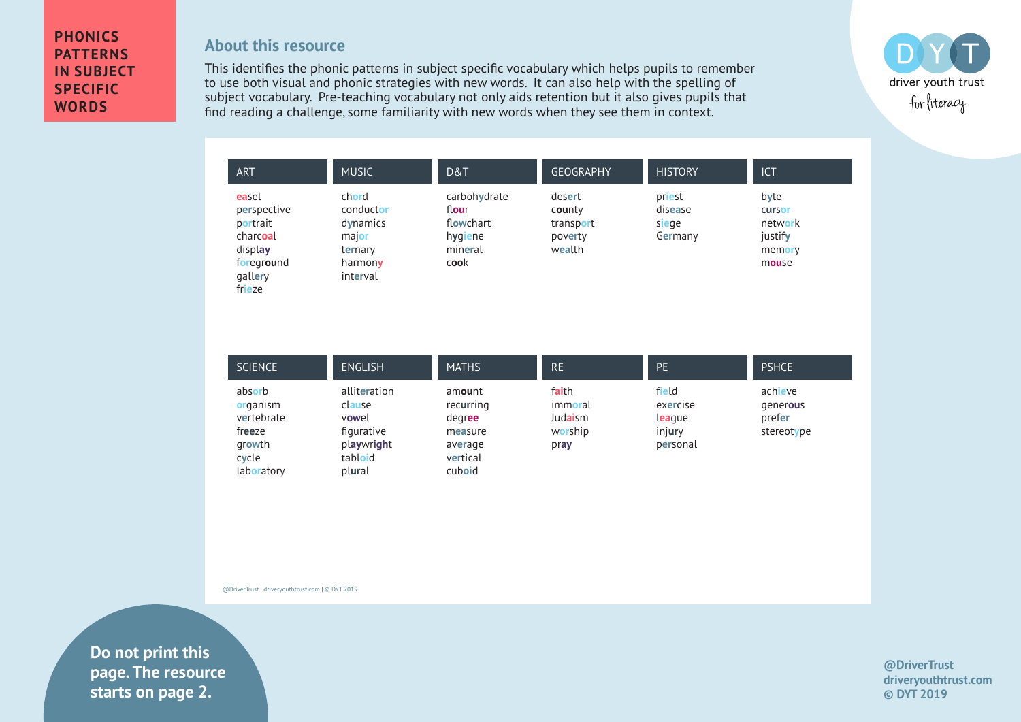## **PHONICS PATTERNS IN SUBJECT SPECIFIC WORDS**

## **About this resource**

This identifies the phonic patterns in subject specific vocabulary which helps pupils to remember to use both visual and phonic strategies with new words. It can also help with the spelling of subject vocabulary. Pre-teaching vocabulary not only aids retention but it also gives pupils that find reading a challenge, some familiarity with new words when they see them in context.



| ART                                                                                        | <b>MUSIC</b>                                                              | D&T                                                              | <b>GEOGRAPHY</b>                                   | <b>HISTORY</b>                        | <b>ICT</b>                                                     |
|--------------------------------------------------------------------------------------------|---------------------------------------------------------------------------|------------------------------------------------------------------|----------------------------------------------------|---------------------------------------|----------------------------------------------------------------|
| easel<br>perspective<br>portrait<br>charcoal<br>display<br>foreground<br>gallery<br>frieze | chord<br>conductor<br>dynamics<br>major<br>ternary<br>harmony<br>interval | carbohydrate<br>flour<br>flowchart<br>hygiene<br>mineral<br>cook | desert<br>county<br>transport<br>poverty<br>wealth | priest<br>disease<br>siege<br>Germany | byte<br><b>Cursor</b><br>network<br>justify<br>memory<br>mouse |

| <b>SCIENCE</b>                                                              | <b>ENGLISH</b>                                                                   | <b>MATHS</b>                                                              | RE.                                            | <b>PE</b>                                         | <b>PSHCE</b>                                |
|-----------------------------------------------------------------------------|----------------------------------------------------------------------------------|---------------------------------------------------------------------------|------------------------------------------------|---------------------------------------------------|---------------------------------------------|
| absorb<br>organism<br>vertebrate<br>freeze<br>growth<br>cycle<br>laboratory | alliteration<br>clause<br>vowel<br>figurative<br>playwright<br>tabloid<br>plural | amount<br>recurring<br>degree<br>measure<br>average<br>vertical<br>cuboid | faith<br>immoral<br>Judaism<br>worship<br>pray | field<br>exercise<br>league<br>injury<br>personal | achieve<br>generous<br>prefer<br>stereotype |

@DriverTrust | driveryouthtrust.com | © DYT 2019

**Example 2.** Starts on page 2. **Do not print this page. The resource** 

**@DriverTrust driveryouthtrust.com © DYT 2019**